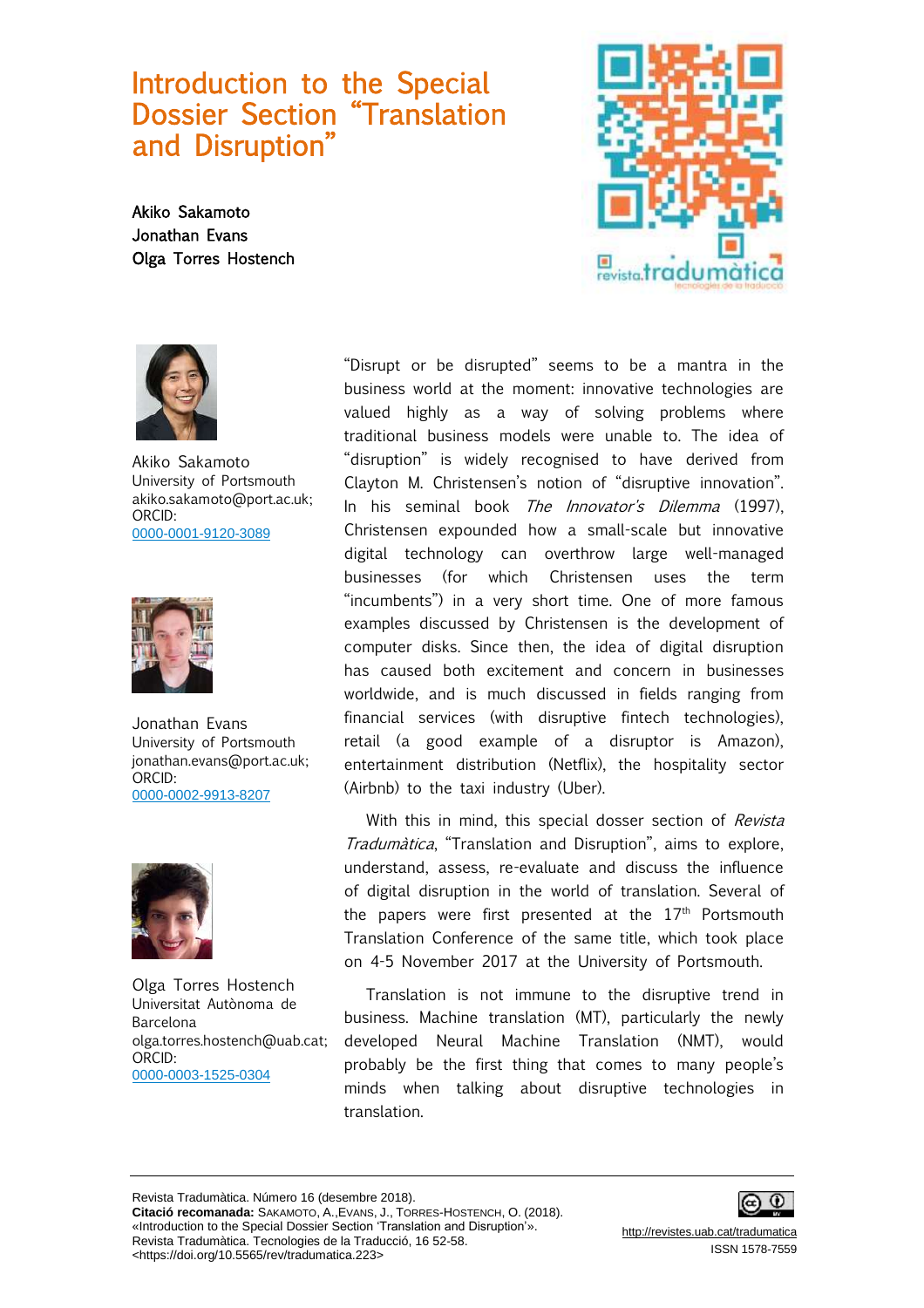## Introduction to the Special Dossier Section "Translation and Disruption"

Akiko Sakamoto Jonathan Evans Olga Torres Hostench





Akiko Sakamoto University of Portsmouth akiko.sakamoto@port.ac.uk; ORCID: [0000-0001-9120-3089](http://orcid.org/0000-0001-9120-3089)



Jonathan Evans University of Portsmouth jonathan.evans@port.ac.uk; ORCID: [0000-0002-9913-8207](http://orcid.org/0000-0002-9913-8207)



Olga Torres Hostench Universitat Autònoma de Barcelona olga.torres.hostench@uab.cat; ORCID: [0000-0003-1525-0304](http://orcid.org/0000-0003-1525-0304)

"Disrupt or be disrupted" seems to be a mantra in the business world at the moment: innovative technologies are valued highly as a way of solving problems where traditional business models were unable to. The idea of "disruption" is widely recognised to have derived from Clayton M. Christensen's notion of "disruptive innovation". In his seminal book The Innovator's Dilemma (1997), Christensen expounded how a small-scale but innovative digital technology can overthrow large well-managed businesses (for which Christensen uses the term "incumbents") in a very short time. One of more famous examples discussed by Christensen is the development of computer disks. Since then, the idea of digital disruption has caused both excitement and concern in businesses worldwide, and is much discussed in fields ranging from financial services (with disruptive fintech technologies), retail (a good example of a disruptor is Amazon), entertainment distribution (Netflix), the hospitality sector (Airbnb) to the taxi industry (Uber).

With this in mind, this special dosser section of Revista Tradumàtica, "Translation and Disruption", aims to explore, understand, assess, re-evaluate and discuss the influence of digital disruption in the world of translation. Several of the papers were first presented at the  $17<sup>th</sup>$  Portsmouth Translation Conference of the same title, which took place on 4-5 November 2017 at the University of Portsmouth.

Translation is not immune to the disruptive trend in business. Machine translation (MT), particularly the newly developed Neural Machine Translation (NMT), would probably be the first thing that comes to many people's minds when talking about disruptive technologies in translation.

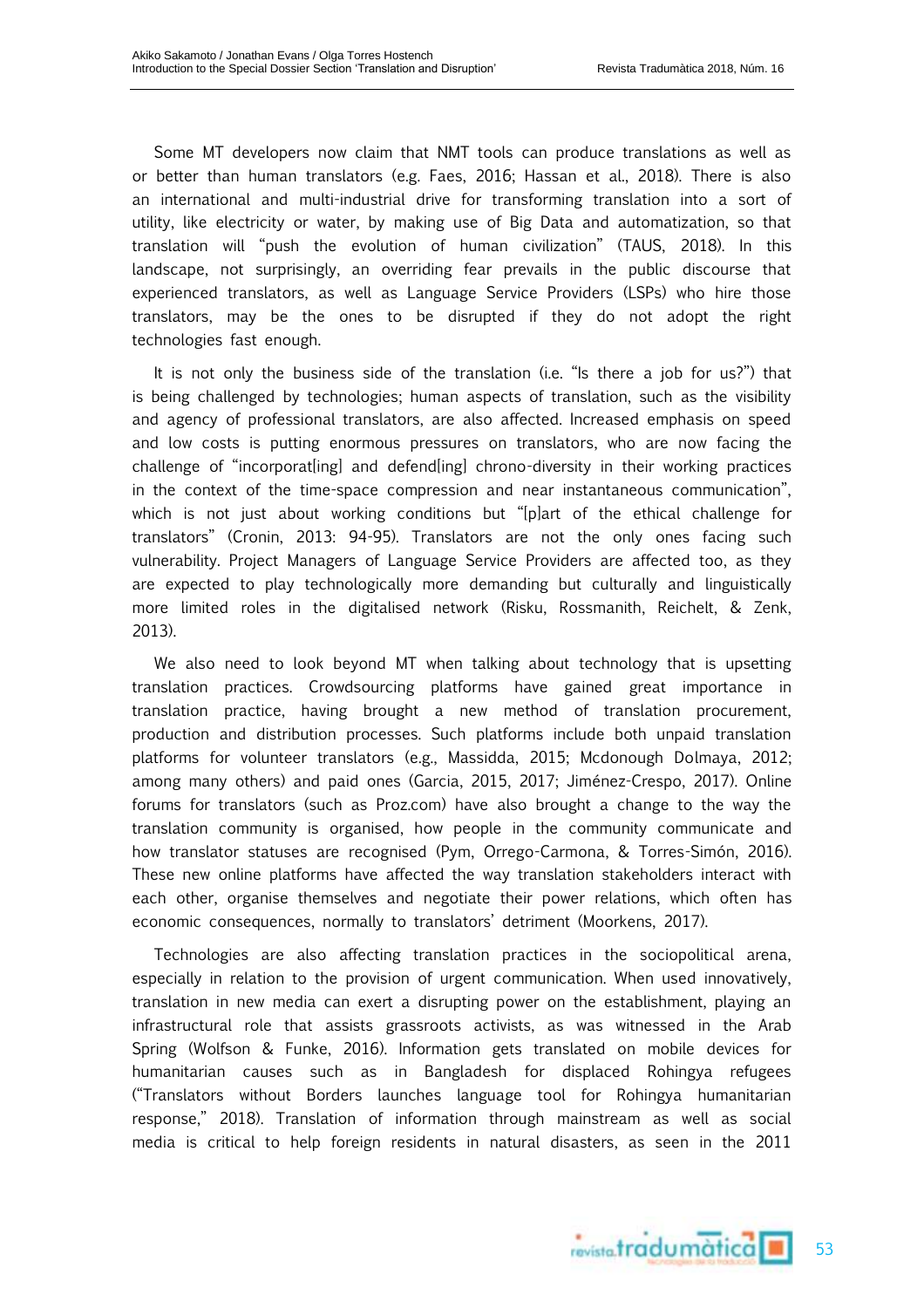Some MT developers now claim that NMT tools can produce translations as well as or better than human translators (e.g. Faes, 2016; Hassan et al., 2018). There is also an international and multi-industrial drive for transforming translation into a sort of utility, like electricity or water, by making use of Big Data and automatization, so that translation will "push the evolution of human civilization" (TAUS, 2018). In this landscape, not surprisingly, an overriding fear prevails in the public discourse that experienced translators, as well as Language Service Providers (LSPs) who hire those translators, may be the ones to be disrupted if they do not adopt the right technologies fast enough.

It is not only the business side of the translation (i.e. "Is there a job for us?") that is being challenged by technologies; human aspects of translation, such as the visibility and agency of professional translators, are also affected. Increased emphasis on speed and low costs is putting enormous pressures on translators, who are now facing the challenge of "incorporat[ing] and defend[ing] chrono-diversity in their working practices in the context of the time-space compression and near instantaneous communication", which is not just about working conditions but "[p]art of the ethical challenge for translators" (Cronin, 2013: 94-95). Translators are not the only ones facing such vulnerability. Project Managers of Language Service Providers are affected too, as they are expected to play technologically more demanding but culturally and linguistically more limited roles in the digitalised network (Risku, Rossmanith, Reichelt, & Zenk, 2013).

We also need to look beyond MT when talking about technology that is upsetting translation practices. Crowdsourcing platforms have gained great importance in translation practice, having brought a new method of translation procurement, production and distribution processes. Such platforms include both unpaid translation platforms for volunteer translators (e.g., Massidda, 2015; Mcdonough Dolmaya, 2012; among many others) and paid ones (Garcia, 2015, 2017; Jiménez-Crespo, 2017). Online forums for translators (such as Proz.com) have also brought a change to the way the translation community is organised, how people in the community communicate and how translator statuses are recognised (Pym, Orrego-Carmona, & Torres-Simón, 2016). These new online platforms have affected the way translation stakeholders interact with each other, organise themselves and negotiate their power relations, which often has economic consequences, normally to translators' detriment (Moorkens, 2017).

Technologies are also affecting translation practices in the sociopolitical arena, especially in relation to the provision of urgent communication. When used innovatively, translation in new media can exert a disrupting power on the establishment, playing an infrastructural role that assists grassroots activists, as was witnessed in the Arab Spring (Wolfson & Funke, 2016). Information gets translated on mobile devices for humanitarian causes such as in Bangladesh for displaced Rohingya refugees ("Translators without Borders launches language tool for Rohingya humanitarian response," 2018). Translation of information through mainstream as well as social media is critical to help foreign residents in natural disasters, as seen in the 2011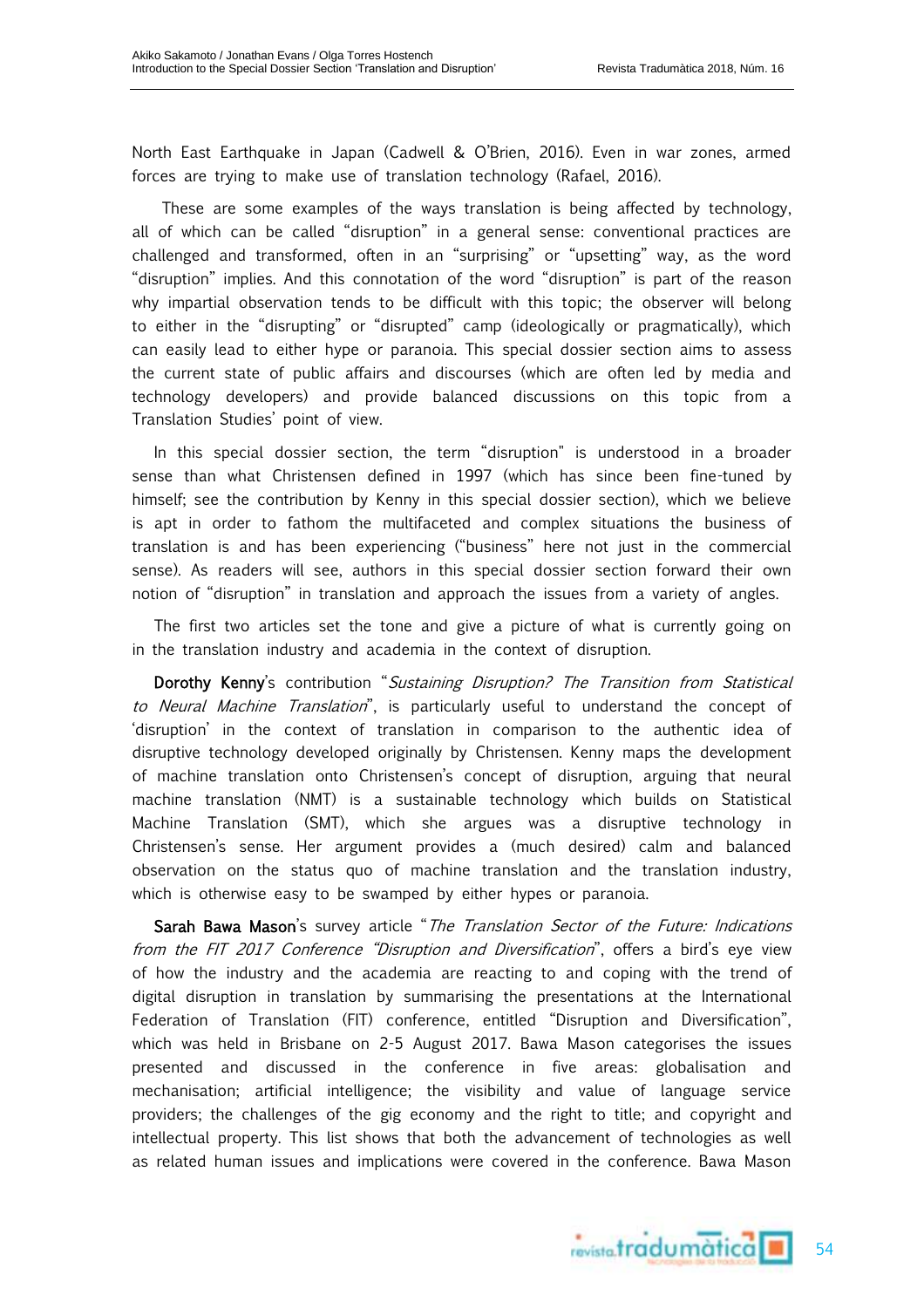North East Earthquake in Japan (Cadwell & O'Brien, 2016). Even in war zones, armed forces are trying to make use of translation technology (Rafael, 2016).

These are some examples of the ways translation is being affected by technology, all of which can be called "disruption" in a general sense: conventional practices are challenged and transformed, often in an "surprising" or "upsetting" way, as the word "disruption" implies. And this connotation of the word "disruption" is part of the reason why impartial observation tends to be difficult with this topic; the observer will belong to either in the "disrupting" or "disrupted" camp (ideologically or pragmatically), which can easily lead to either hype or paranoia. This special dossier section aims to assess the current state of public affairs and discourses (which are often led by media and technology developers) and provide balanced discussions on this topic from a Translation Studies' point of view.

In this special dossier section, the term "disruption" is understood in a broader sense than what Christensen defined in 1997 (which has since been fine-tuned by himself; see the contribution by Kenny in this special dossier section), which we believe is apt in order to fathom the multifaceted and complex situations the business of translation is and has been experiencing ("business" here not just in the commercial sense). As readers will see, authors in this special dossier section forward their own notion of "disruption" in translation and approach the issues from a variety of angles.

The first two articles set the tone and give a picture of what is currently going on in the translation industry and academia in the context of disruption.

Dorothy Kenny's contribution "Sustaining Disruption? The Transition from Statistical to Neural Machine Translation", is particularly useful to understand the concept of 'disruption' in the context of translation in comparison to the authentic idea of disruptive technology developed originally by Christensen. Kenny maps the development of machine translation onto Christensen's concept of disruption, arguing that neural machine translation (NMT) is a sustainable technology which builds on Statistical Machine Translation (SMT), which she argues was a disruptive technology in Christensen's sense. Her argument provides a (much desired) calm and balanced observation on the status quo of machine translation and the translation industry, which is otherwise easy to be swamped by either hypes or paranoia.

Sarah Bawa Mason's survey article "The Translation Sector of the Future: Indications from the FIT 2017 Conference "Disruption and Diversification", offers a bird's eye view of how the industry and the academia are reacting to and coping with the trend of digital disruption in translation by summarising the presentations at the International Federation of Translation (FIT) conference, entitled "Disruption and Diversification", which was held in Brisbane on 2-5 August 2017. Bawa Mason categorises the issues presented and discussed in the conference in five areas: globalisation and mechanisation; artificial intelligence; the visibility and value of language service providers; the challenges of the gig economy and the right to title; and copyright and intellectual property. This list shows that both the advancement of technologies as well as related human issues and implications were covered in the conference. Bawa Mason

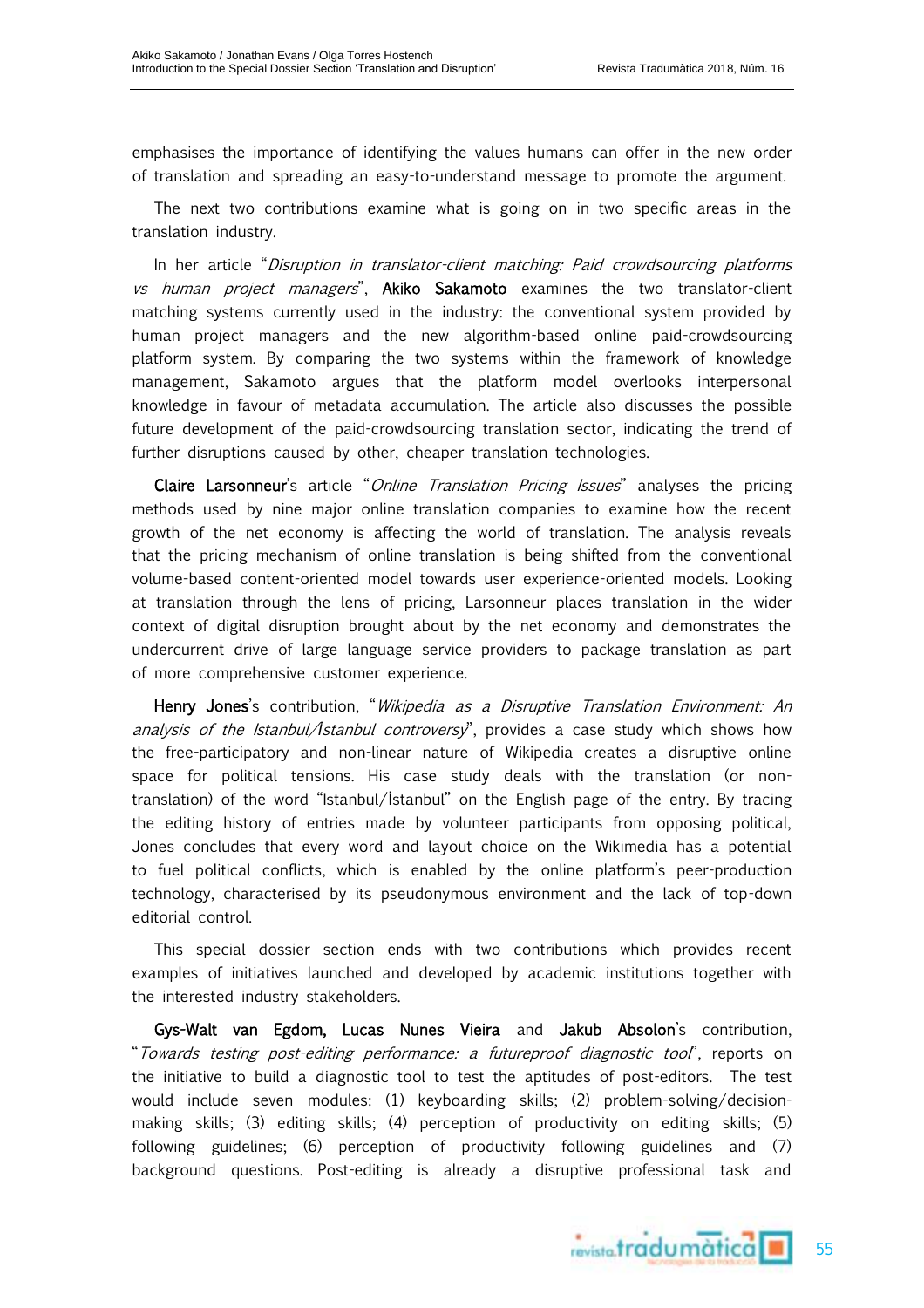emphasises the importance of identifying the values humans can offer in the new order of translation and spreading an easy-to-understand message to promote the argument.

The next two contributions examine what is going on in two specific areas in the translation industry.

In her article "Disruption in translator-client matching: Paid crowdsourcing platforms vs human project managers", Akiko Sakamoto examines the two translator-client matching systems currently used in the industry: the conventional system provided by human project managers and the new algorithm-based online paid-crowdsourcing platform system. By comparing the two systems within the framework of knowledge management, Sakamoto argues that the platform model overlooks interpersonal knowledge in favour of metadata accumulation. The article also discusses the possible future development of the paid-crowdsourcing translation sector, indicating the trend of further disruptions caused by other, cheaper translation technologies.

Claire Larsonneur's article "*Online Translation Pricing Issues*" analyses the pricing methods used by nine major online translation companies to examine how the recent growth of the net economy is affecting the world of translation. The analysis reveals that the pricing mechanism of online translation is being shifted from the conventional volume-based content-oriented model towards user experience-oriented models. Looking at translation through the lens of pricing, Larsonneur places translation in the wider context of digital disruption brought about by the net economy and demonstrates the undercurrent drive of large language service providers to package translation as part of more comprehensive customer experience.

Henry Jones's contribution, "*Wikipedia as a Disruptive Translation Environment: An* analysis of the Istanbul/*İ*stanbul controversy", provides a case study which shows how the free-participatory and non-linear nature of Wikipedia creates a disruptive online space for political tensions. His case study deals with the translation (or nontranslation) of the word "Istanbul/İstanbul" on the English page of the entry. By tracing the editing history of entries made by volunteer participants from opposing political, Jones concludes that every word and layout choice on the Wikimedia has a potential to fuel political conflicts, which is enabled by the online platform's peer-production technology, characterised by its pseudonymous environment and the lack of top-down editorial control.

This special dossier section ends with two contributions which provides recent examples of initiatives launched and developed by academic institutions together with the interested industry stakeholders.

Gys-Walt van Egdom, Lucas Nunes Vieira and Jakub Absolon's contribution, "Towards testing post-editing performance: a futureproof diagnostic tool", reports on the initiative to build a diagnostic tool to test the aptitudes of post-editors. The test would include seven modules: (1) keyboarding skills; (2) problem-solving/decisionmaking skills; (3) editing skills; (4) perception of productivity on editing skills; (5) following guidelines; (6) perception of productivity following guidelines and (7) background questions. Post-editing is already a disruptive professional task and



55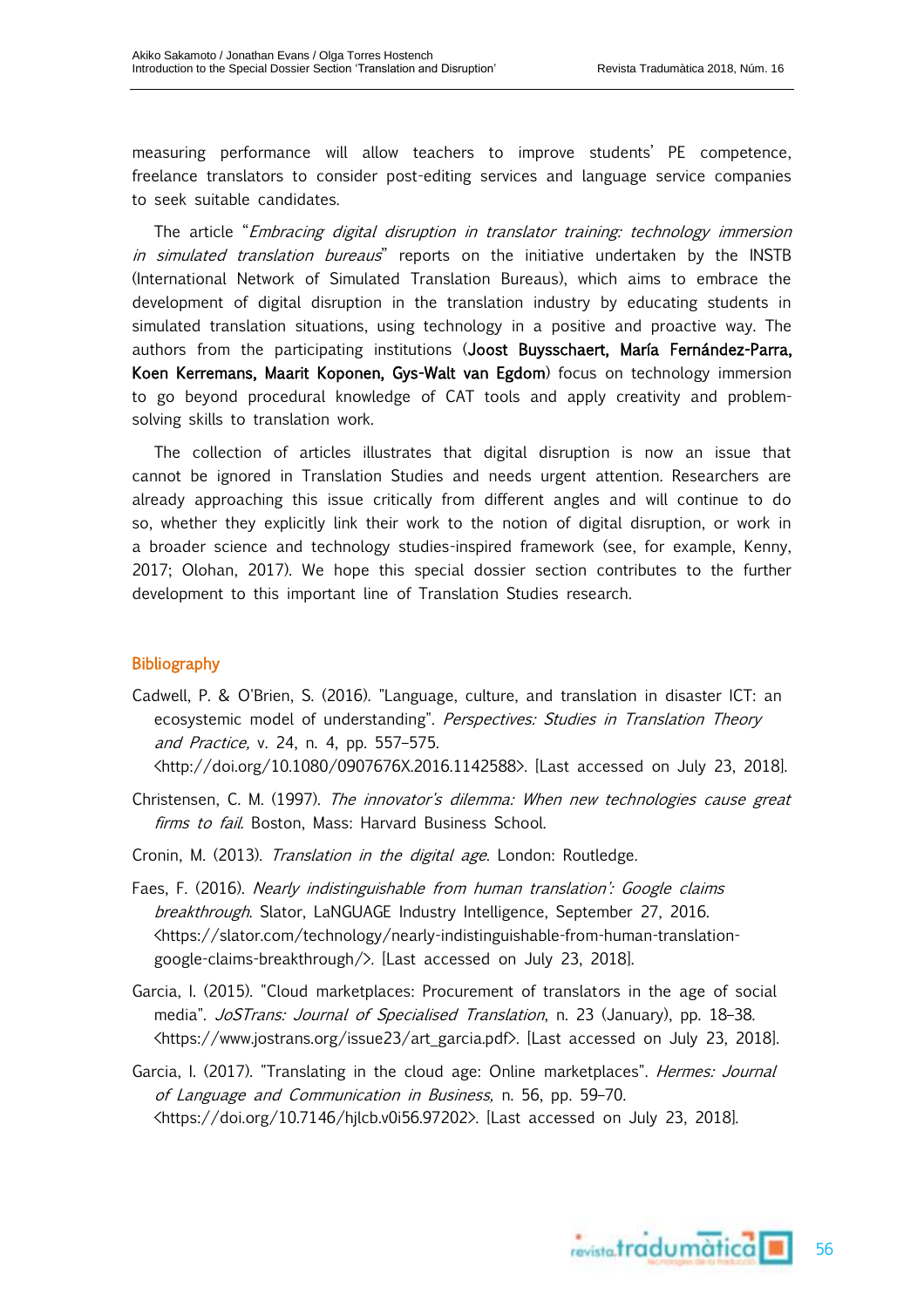measuring performance will allow teachers to improve students' PE competence, freelance translators to consider post-editing services and language service companies to seek suitable candidates.

The article "*Embracing digital disruption in translator training: technology immersion* in simulated translation bureaus" reports on the initiative undertaken by the INSTB (International Network of Simulated Translation Bureaus), which aims to embrace the development of digital disruption in the translation industry by educating students in simulated translation situations, using technology in a positive and proactive way. The authors from the participating institutions (Joost Buysschaert, María Fernández-Parra, Koen Kerremans, Maarit Koponen, Gys-Walt van Egdom) focus on technology immersion to go beyond procedural knowledge of CAT tools and apply creativity and problemsolving skills to translation work.

The collection of articles illustrates that digital disruption is now an issue that cannot be ignored in Translation Studies and needs urgent attention. Researchers are already approaching this issue critically from different angles and will continue to do so, whether they explicitly link their work to the notion of digital disruption, or work in a broader science and technology studies-inspired framework (see, for example, Kenny, 2017; Olohan, 2017). We hope this special dossier section contributes to the further development to this important line of Translation Studies research.

## Bibliography

Cadwell, P. & O'Brien, S. (2016). "Language, culture, and translation in disaster ICT: an ecosystemic model of understanding". Perspectives: Studies in Translation Theory and Practice, v. 24, n. 4, pp. 557–575.

<http://doi.org/10.1080/0907676X.2016.1142588>. [Last accessed on July 23, 2018].

- Christensen, C. M. (1997). The innovator's dilemma: When new technologies cause great firms to fail. Boston, Mass: Harvard Business School.
- Cronin, M. (2013). Translation in the digital age. London: Routledge.
- Faes, F. (2016). Nearly indistinguishable from human translation': Google claims breakthrough. Slator, LaNGUAGE Industry Intelligence, September 27, 2016. <https://slator.com/technology/nearly-indistinguishable-from-human-translationgoogle-claims-breakthrough/>. [Last accessed on July 23, 2018].
- Garcia, I. (2015). "Cloud marketplaces: Procurement of translators in the age of social media". JoSTrans: Journal of Specialised Translation, n. 23 (January), pp. 18-38. <https://www.jostrans.org/issue23/art\_garcia.pdf>. [Last accessed on July 23, 2018].
- Garcia, I. (2017). "Translating in the cloud age: Online marketplaces". *Hermes: Journal* of Language and Communication in Business, n. 56, pp. 59–70. <https://doi.org/10.7146/hjlcb.v0i56.97202>. [Last accessed on July 23, 2018].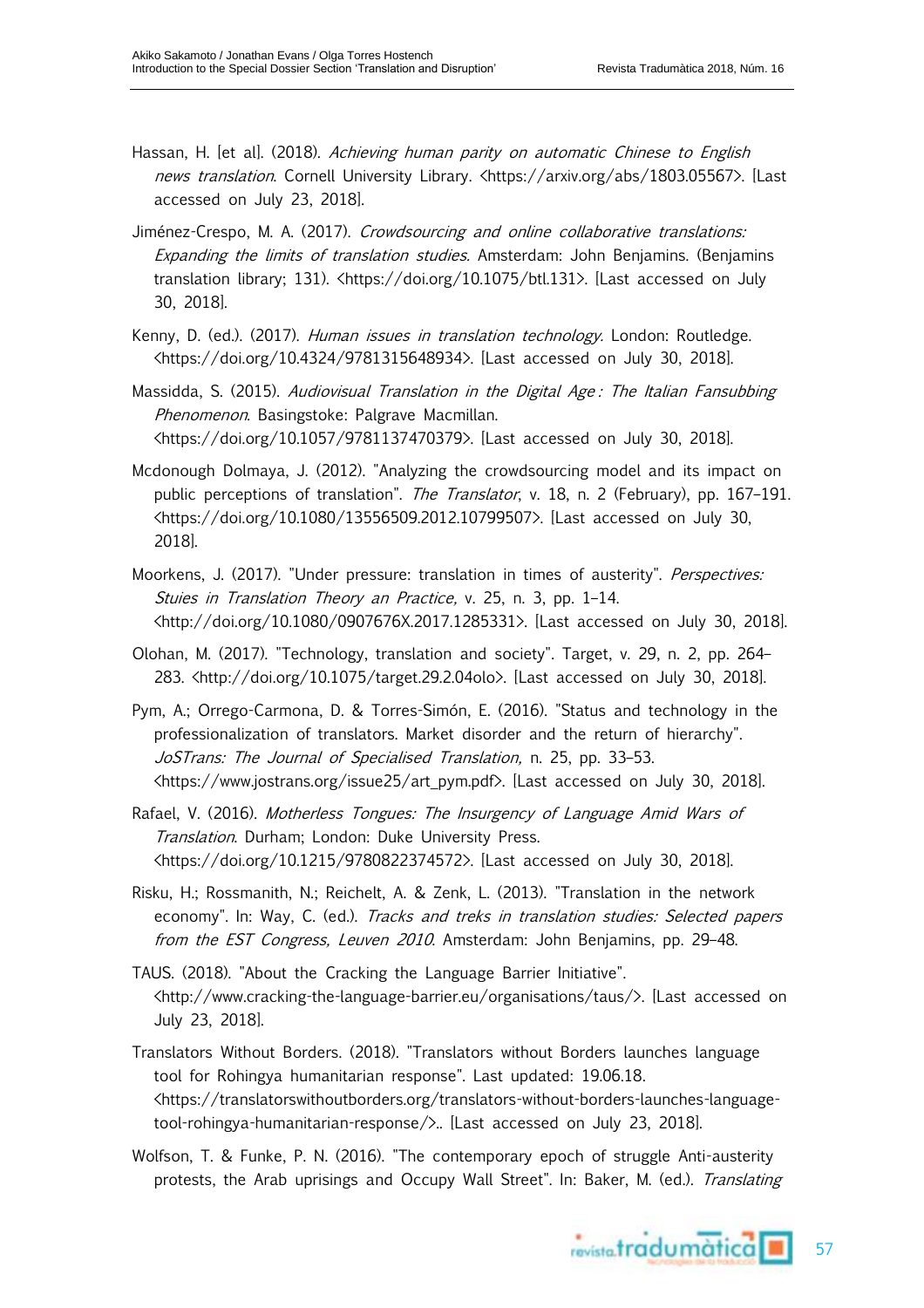- Hassan, H. [et al]. (2018). Achieving human parity on automatic Chinese to English news translation. Cornell University Library. <https://arxiv.org/abs/1803.05567>. [Last accessed on July 23, 2018].
- Jiménez-Crespo, M. A. (2017). Crowdsourcing and online collaborative translations: Expanding the limits of translation studies. Amsterdam: John Benjamins. (Benjamins translation library; 131). <https://doi.org/10.1075/btl.131>. [Last accessed on July 30, 2018].
- Kenny, D. (ed.). (2017). Human issues in translation technology. London: Routledge. <https://doi.org/10.4324/9781315648934>. [Last accessed on July 30, 2018].
- Massidda, S. (2015). Audiovisual Translation in the Digital Age: The Italian Fansubbing Phenomenon. Basingstoke: Palgrave Macmillan. <https://doi.org/10.1057/9781137470379>. [Last accessed on July 30, 2018].
- Mcdonough Dolmaya, J. (2012). "Analyzing the crowdsourcing model and its impact on public perceptions of translation". The Translator, v. 18, n. 2 (February), pp. 167-191. <https://doi.org/10.1080/13556509.2012.10799507>. [Last accessed on July 30, 2018].
- Moorkens, J. (2017). "Under pressure: translation in times of austerity". *Perspectives:* Stuies in Translation Theory an Practice, v. 25, n. 3, pp. 1–14. <http://doi.org/10.1080/0907676X.2017.1285331>. [Last accessed on July 30, 2018].
- Olohan, M. (2017). "Technology, translation and society". Target, v. 29, n. 2, pp. 264– 283. <http://doi.org/10.1075/target.29.2.04olo>. [Last accessed on July 30, 2018].
- Pym, A.; Orrego-Carmona, D. & Torres-Simón, E. (2016). "Status and technology in the professionalization of translators. Market disorder and the return of hierarchy". JoSTrans: The Journal of Specialised Translation, n. 25, pp. 33-53. <https://www.jostrans.org/issue25/art\_pym.pdf>. [Last accessed on July 30, 2018].
- Rafael, V. (2016). Motherless Tongues: The Insurgency of Language Amid Wars of Translation. Durham; London: Duke University Press. <https://doi.org/10.1215/9780822374572>. [Last accessed on July 30, 2018].
- Risku, H.; Rossmanith, N.; Reichelt, A. & Zenk, L. (2013). "Translation in the network economy". In: Way, C. (ed.). Tracks and treks in translation studies: Selected papers from the EST Congress, Leuven 2010. Amsterdam: John Benjamins, pp. 29–48.
- TAUS. (2018). "About the Cracking the Language Barrier Initiative". <http://www.cracking-the-language-barrier.eu/organisations/taus/>. [Last accessed on July 23, 2018].
- Translators Without Borders. (2018). "Translators without Borders launches language tool for Rohingya humanitarian response". Last updated: 19.06.18. <https://translatorswithoutborders.org/translators-without-borders-launches-languagetool-rohingya-humanitarian-response/>.. [Last accessed on July 23, 2018].
- Wolfson, T. & Funke, P. N. (2016). "The contemporary epoch of struggle Anti-austerity protests, the Arab uprisings and Occupy Wall Street". In: Baker, M. (ed.). Translating